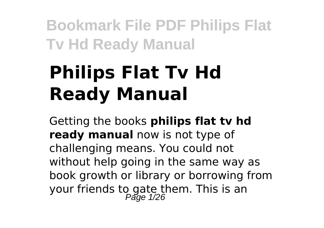# **Philips Flat Tv Hd Ready Manual**

Getting the books **philips flat tv hd ready manual** now is not type of challenging means. You could not without help going in the same way as book growth or library or borrowing from your friends to gate them. This is an<br>Page 1/26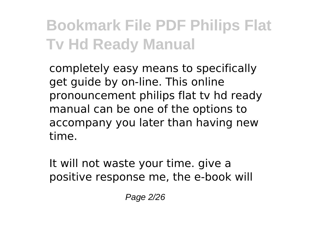completely easy means to specifically get guide by on-line. This online pronouncement philips flat tv hd ready manual can be one of the options to accompany you later than having new time.

It will not waste your time. give a positive response me, the e-book will

Page 2/26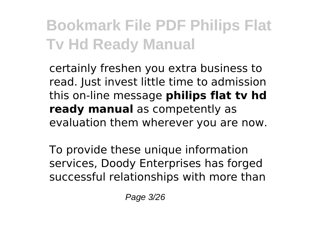certainly freshen you extra business to read. Just invest little time to admission this on-line message **philips flat tv hd ready manual** as competently as evaluation them wherever you are now.

To provide these unique information services, Doody Enterprises has forged successful relationships with more than

Page 3/26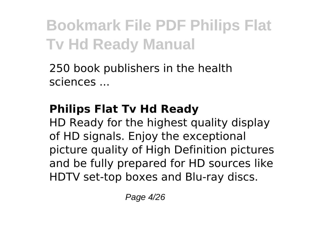250 book publishers in the health sciences ...

#### **Philips Flat Tv Hd Ready**

HD Ready for the highest quality display of HD signals. Enjoy the exceptional picture quality of High Definition pictures and be fully prepared for HD sources like HDTV set-top boxes and Blu-ray discs.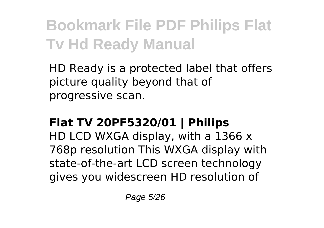HD Ready is a protected label that offers picture quality beyond that of progressive scan.

#### **Flat TV 20PF5320/01 | Philips**

HD LCD WXGA display, with a 1366 x 768p resolution This WXGA display with state-of-the-art LCD screen technology gives you widescreen HD resolution of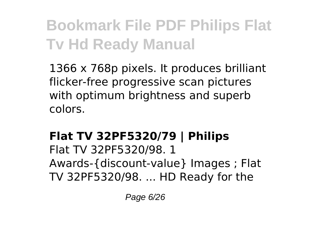1366 x 768p pixels. It produces brilliant flicker-free progressive scan pictures with optimum brightness and superb colors.

#### **Flat TV 32PF5320/79 | Philips**

Flat TV 32PF5320/98. 1 Awards-{discount-value} Images ; Flat TV 32PF5320/98. ... HD Ready for the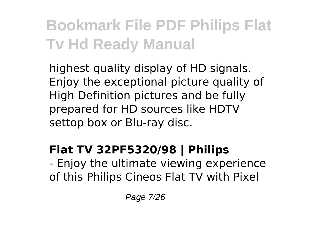highest quality display of HD signals. Enjoy the exceptional picture quality of High Definition pictures and be fully prepared for HD sources like HDTV settop box or Blu-ray disc.

#### **Flat TV 32PF5320/98 | Philips**

- Enjoy the ultimate viewing experience of this Philips Cineos Flat TV with Pixel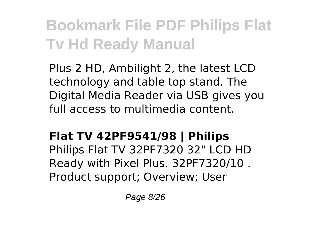Plus 2 HD, Ambilight 2, the latest LCD technology and table top stand. The Digital Media Reader via USB gives you full access to multimedia content.

#### **Flat TV 42PF9541/98 | Philips**

Philips Flat TV 32PF7320 32" LCD HD Ready with Pixel Plus. 32PF7320/10 . Product support; Overview; User

Page 8/26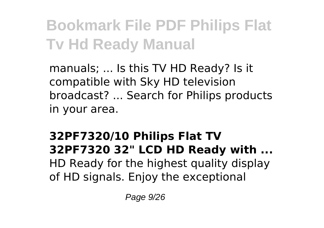manuals; ... Is this TV HD Ready? Is it compatible with Sky HD television broadcast? ... Search for Philips products in your area.

#### **32PF7320/10 Philips Flat TV 32PF7320 32" LCD HD Ready with ...** HD Ready for the highest quality display of HD signals. Enjoy the exceptional

Page 9/26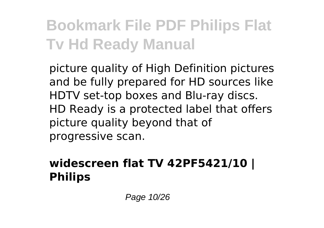picture quality of High Definition pictures and be fully prepared for HD sources like HDTV set-top boxes and Blu-ray discs. HD Ready is a protected label that offers picture quality beyond that of progressive scan.

#### **widescreen flat TV 42PF5421/10 | Philips**

Page 10/26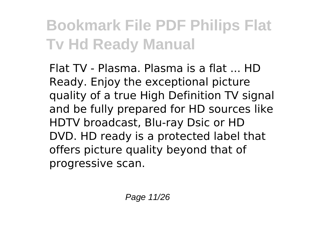Flat TV - Plasma. Plasma is a flat ... HD Ready. Enjoy the exceptional picture quality of a true High Definition TV signal and be fully prepared for HD sources like HDTV broadcast, Blu-ray Dsic or HD DVD. HD ready is a protected label that offers picture quality beyond that of progressive scan.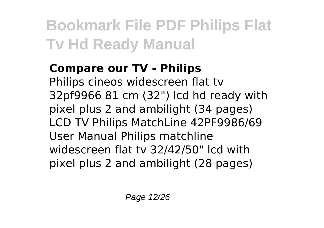#### **Compare our TV - Philips**

Philips cineos widescreen flat tv 32pf9966 81 cm (32") lcd hd ready with pixel plus 2 and ambilight (34 pages) LCD TV Philips MatchLine 42PF9986/69 User Manual Philips matchline widescreen flat tv 32/42/50" lcd with pixel plus 2 and ambilight (28 pages)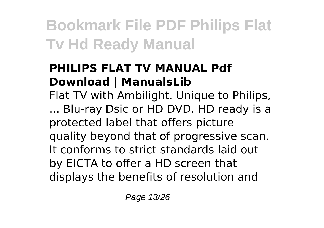#### **PHILIPS FLAT TV MANUAL Pdf Download | ManualsLib**

Flat TV with Ambilight. Unique to Philips, ... Blu-ray Dsic or HD DVD. HD ready is a protected label that offers picture quality beyond that of progressive scan. It conforms to strict standards laid out by EICTA to offer a HD screen that displays the benefits of resolution and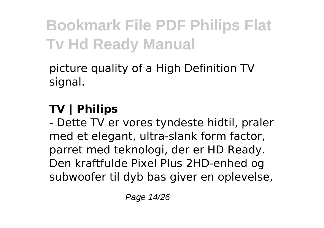picture quality of a High Definition TV signal.

#### **TV | Philips**

- Dette TV er vores tyndeste hidtil, praler med et elegant, ultra-slank form factor, parret med teknologi, der er HD Ready. Den kraftfulde Pixel Plus 2HD-enhed og subwoofer til dyb bas giver en oplevelse,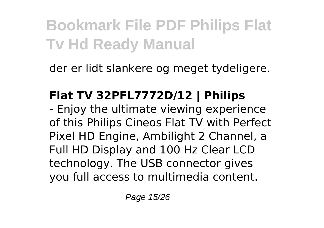der er lidt slankere og meget tydeligere.

#### **Flat TV 32PFL7772D/12 | Philips**

- Enjoy the ultimate viewing experience of this Philips Cineos Flat TV with Perfect Pixel HD Engine, Ambilight 2 Channel, a Full HD Display and 100 Hz Clear LCD technology. The USB connector gives you full access to multimedia content.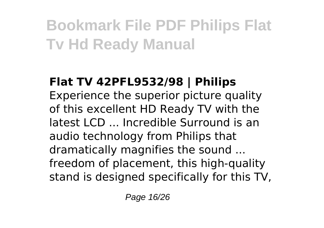#### **Flat TV 42PFL9532/98 | Philips** Experience the superior picture quality of this excellent HD Ready TV with the latest LCD ... Incredible Surround is an audio technology from Philips that dramatically magnifies the sound ... freedom of placement, this high-quality stand is designed specifically for this TV,

Page 16/26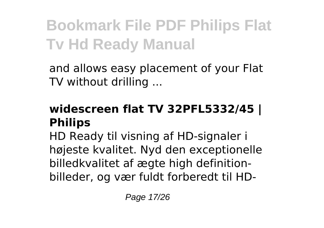and allows easy placement of your Flat TV without drilling ...

#### **widescreen flat TV 32PFL5332/45 | Philips**

HD Ready til visning af HD-signaler i højeste kvalitet. Nyd den exceptionelle billedkvalitet af ægte high definitionbilleder, og vær fuldt forberedt til HD-

Page 17/26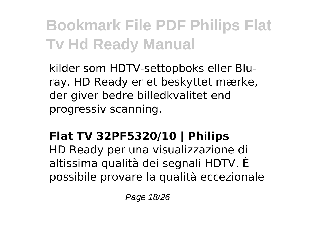kilder som HDTV-settopboks eller Bluray. HD Ready er et beskyttet mærke, der giver bedre billedkvalitet end progressiv scanning.

#### **Flat TV 32PF5320/10 | Philips**

HD Ready per una visualizzazione di altissima qualità dei segnali HDTV. È possibile provare la qualità eccezionale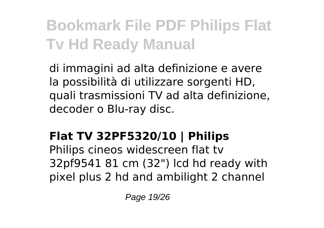di immagini ad alta definizione e avere la possibilità di utilizzare sorgenti HD, quali trasmissioni TV ad alta definizione, decoder o Blu-ray disc.

#### **Flat TV 32PF5320/10 | Philips**

Philips cineos widescreen flat tv 32pf9541 81 cm (32") lcd hd ready with pixel plus 2 hd and ambilight 2 channel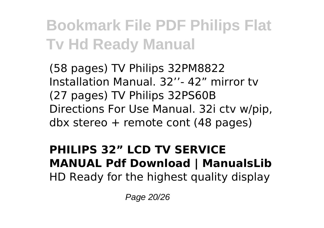(58 pages) TV Philips 32PM8822 Installation Manual. 32''- 42" mirror tv (27 pages) TV Philips 32PS60B Directions For Use Manual. 32i ctv w/pip, dbx stereo + remote cont (48 pages)

#### **PHILIPS 32" LCD TV SERVICE MANUAL Pdf Download | ManualsLib** HD Ready for the highest quality display

Page 20/26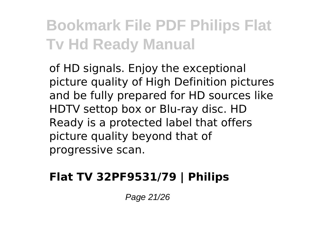of HD signals. Enjoy the exceptional picture quality of High Definition pictures and be fully prepared for HD sources like HDTV settop box or Blu-ray disc. HD Ready is a protected label that offers picture quality beyond that of progressive scan.

#### **Flat TV 32PF9531/79 | Philips**

Page 21/26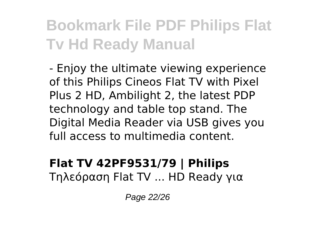- Enjoy the ultimate viewing experience of this Philips Cineos Flat TV with Pixel Plus 2 HD, Ambilight 2, the latest PDP technology and table top stand. The Digital Media Reader via USB gives you full access to multimedia content.

#### **Flat TV 42PF9531/79 | Philips** Τηλεόραση Flat TV ... HD Ready για

Page 22/26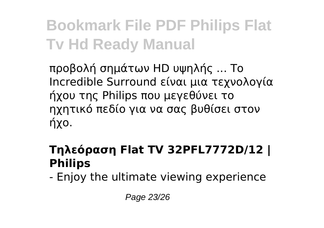προβολή σημάτων HD υψηλής ... Το Incredible Surround είναι μια τεχνολογία ήχου της Philips που μεγεθύνει το ηχητικό πεδίο για να σας βυθίσει στον ήχο.

#### **Τηλεόραση Flat TV 32PFL7772D/12 | Philips**

- Enjoy the ultimate viewing experience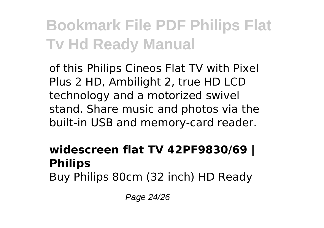of this Philips Cineos Flat TV with Pixel Plus 2 HD, Ambilight 2, true HD LCD technology and a motorized swivel stand. Share music and photos via the built-in USB and memory-card reader.

#### **widescreen flat TV 42PF9830/69 | Philips** Buy Philips 80cm (32 inch) HD Ready

Page 24/26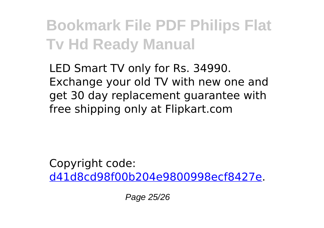LED Smart TV only for Rs. 34990. Exchange your old TV with new one and get 30 day replacement guarantee with free shipping only at Flipkart.com

Copyright code: [d41d8cd98f00b204e9800998ecf8427e.](/sitemap.xml)

Page 25/26